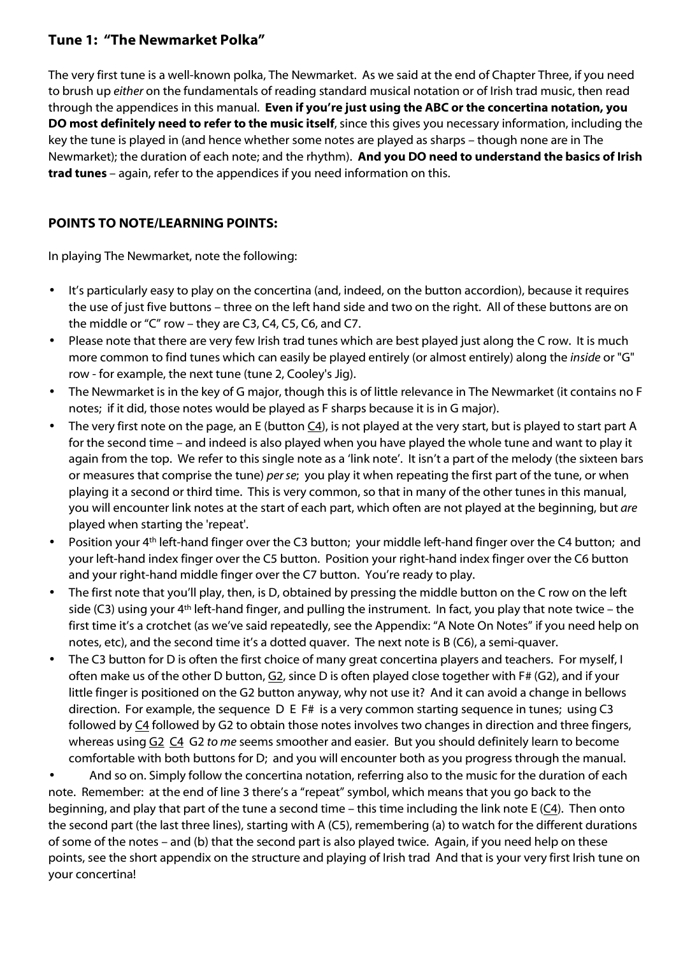## **Tune 1: "The Newmarket Polka"**

The very first tune is a well-known polka, The Newmarket. As we said at the end of Chapter Three, if you need to brush up *either* on the fundamentals of reading standard musical notation or of Irish trad music, then read through the appendices in this manual. **Even if you're just using the ABC or the concertina notation, you DO most definitely need to refer to the music itself**, since this gives you necessary information, including the key the tune is played in (and hence whether some notes are played as sharps – though none are in The Newmarket); the duration of each note; and the rhythm). **And you DO need to understand the basics of Irish trad tunes** – again, refer to the appendices if you need information on this.

## **POINTS TO NOTE/LEARNING POINTS:**

In playing The Newmarket, note the following:

- It's particularly easy to play on the concertina (and, indeed, on the button accordion), because it requires the use of just five buttons – three on the left hand side and two on the right. All of these buttons are on the middle or "C" row – they are C3, C4, C5, C6, and C7.
- Please note that there are very few Irish trad tunes which are best played just along the C row. It is much more common to find tunes which can easily be played entirely (or almost entirely) along the *inside* or "G" row - for example, the next tune (tune 2, Cooley's Jig).
- The Newmarket is in the key of G major, though this is of little relevance in The Newmarket (it contains no F notes; if it did, those notes would be played as F sharps because it is in G major).
- The very first note on the page, an E (button C4), is not played at the very start, but is played to start part A for the second time – and indeed is also played when you have played the whole tune and want to play it again from the top. We refer to this single note as a 'link note'. It isn't a part of the melody (the sixteen bars or measures that comprise the tune) *per se*; you play it when repeating the first part of the tune, or when playing it a second or third time. This is very common, so that in many of the other tunes in this manual, you will encounter link notes at the start of each part, which often are not played at the beginning, but *are* played when starting the 'repeat'.
- Position your 4<sup>th</sup> left-hand finger over the C3 button; your middle left-hand finger over the C4 button; and your left-hand index finger over the C5 button. Position your right-hand index finger over the C6 button and your right-hand middle finger over the C7 button. You're ready to play.
- The first note that you'll play, then, is D, obtained by pressing the middle button on the C row on the left side (C3) using your 4th left-hand finger, and pulling the instrument. In fact, you play that note twice – the first time it's a crotchet (as we've said repeatedly, see the Appendix: "A Note On Notes" if you need help on notes, etc), and the second time it's a dotted quaver. The next note is B (C6), a semi-quaver.
- The C3 button for D is often the first choice of many great concertina players and teachers. For myself, I often make us of the other D button,  $G2$ , since D is often played close together with F# (G2), and if your little finger is positioned on the G2 button anyway, why not use it? And it can avoid a change in bellows direction. For example, the sequence  $D \text{ } E \text{ } F#$  is a very common starting sequence in tunes; using C3 followed by C4 followed by G2 to obtain those notes involves two changes in direction and three fingers, whereas using G2 C4 G2 *to me* seems smoother and easier. But you should definitely learn to become comfortable with both buttons for D; and you will encounter both as you progress through the manual.

 And so on. Simply follow the concertina notation, referring also to the music for the duration of each note. Remember: at the end of line 3 there's a "repeat" symbol, which means that you go back to the beginning, and play that part of the tune a second time – this time including the link note E (C4). Then onto the second part (the last three lines), starting with A (C5), remembering (a) to watch for the different durations of some of the notes – and (b) that the second part is also played twice. Again, if you need help on these points, see the short appendix on the structure and playing of Irish trad And that is your very first Irish tune on your concertina!